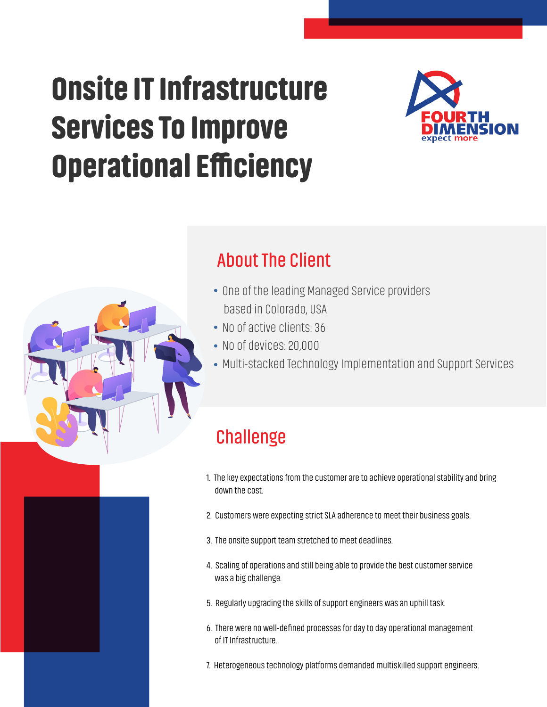## Onsite IT Infrastructure Services To Improve **Operational Efficiency**





- One of the leading Managed Service providers based in Colorado, USA
- No of active clients: 36
- No of devices: 20,000
- Multi-stacked Technology Implementation and Support Services

## **Challenge**

- 1. The key expectations from the customer are to achieve operational stability and bring down the cost.
- 2. Customers were expecting strict SLA adherence to meet their business goals.
- 3. The onsite support team stretched to meet deadlines.
- 4. Scaling of operations and still being able to provide the best customer service was a big challenge.
- 5. Regularly upgrading the skills of support engineers was an uphill task.
- 6. There were no well-defined processes for day to day operational management of IT Infrastructure.
- 7. Heterogeneous technology platforms demanded multiskilled support engineers.